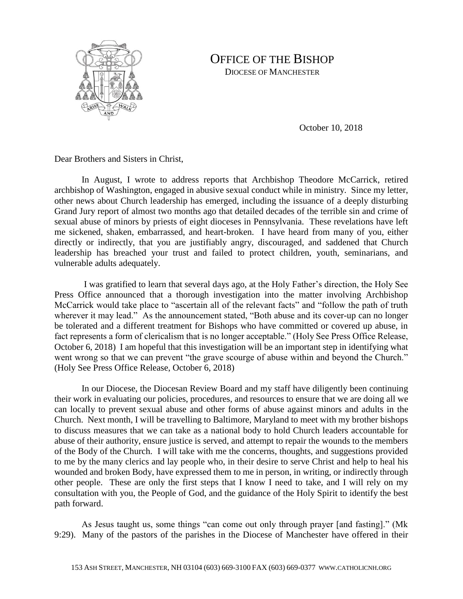

## OFFICE OF THE BISHOP

DIOCESE OF MANCHESTER

October 10, 2018

Dear Brothers and Sisters in Christ,

In August, I wrote to address reports that Archbishop Theodore McCarrick, retired archbishop of Washington, engaged in abusive sexual conduct while in ministry. Since my letter, other news about Church leadership has emerged, including the issuance of a deeply disturbing Grand Jury report of almost two months ago that detailed decades of the terrible sin and crime of sexual abuse of minors by priests of eight dioceses in Pennsylvania. These revelations have left me sickened, shaken, embarrassed, and heart-broken. I have heard from many of you, either directly or indirectly, that you are justifiably angry, discouraged, and saddened that Church leadership has breached your trust and failed to protect children, youth, seminarians, and vulnerable adults adequately.

I was gratified to learn that several days ago, at the Holy Father's direction, the Holy See Press Office announced that a thorough investigation into the matter involving Archbishop McCarrick would take place to "ascertain all of the relevant facts" and "follow the path of truth wherever it may lead." As the announcement stated, "Both abuse and its cover-up can no longer be tolerated and a different treatment for Bishops who have committed or covered up abuse, in fact represents a form of clericalism that is no longer acceptable." (Holy See Press Office Release, October 6, 2018) I am hopeful that this investigation will be an important step in identifying what went wrong so that we can prevent "the grave scourge of abuse within and beyond the Church." (Holy See Press Office Release, October 6, 2018)

In our Diocese, the Diocesan Review Board and my staff have diligently been continuing their work in evaluating our policies, procedures, and resources to ensure that we are doing all we can locally to prevent sexual abuse and other forms of abuse against minors and adults in the Church. Next month, I will be travelling to Baltimore, Maryland to meet with my brother bishops to discuss measures that we can take as a national body to hold Church leaders accountable for abuse of their authority, ensure justice is served, and attempt to repair the wounds to the members of the Body of the Church. I will take with me the concerns, thoughts, and suggestions provided to me by the many clerics and lay people who, in their desire to serve Christ and help to heal his wounded and broken Body, have expressed them to me in person, in writing, or indirectly through other people. These are only the first steps that I know I need to take, and I will rely on my consultation with you, the People of God, and the guidance of the Holy Spirit to identify the best path forward.

As Jesus taught us, some things "can come out only through prayer [and fasting]." (Mk 9:29). Many of the pastors of the parishes in the Diocese of Manchester have offered in their